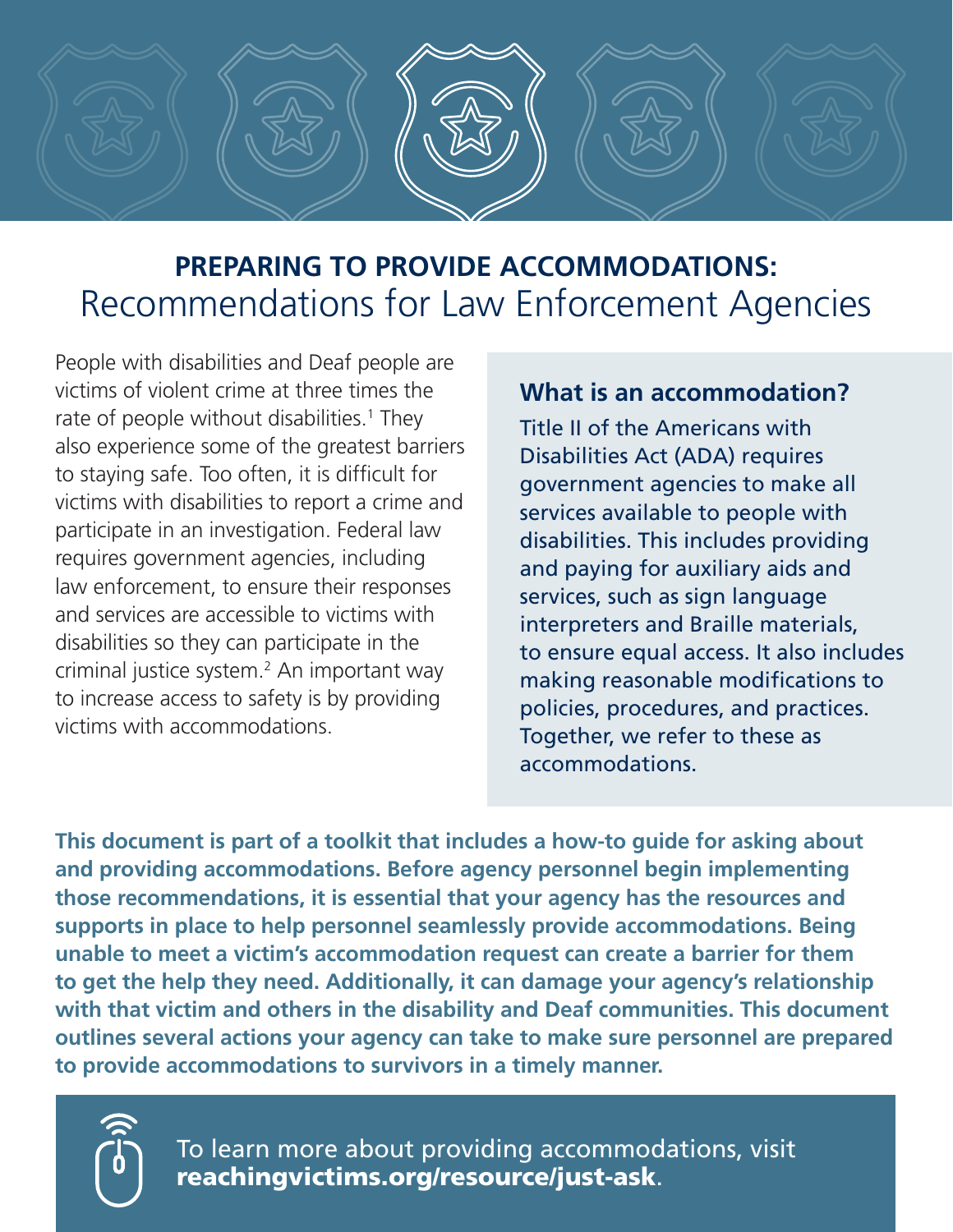

# **PREPARING TO PROVIDE ACCOMMODATIONS:**  Recommendations for Law Enforcement Agencies

People with disabilities and Deaf people are victims of violent crime at three times the rate of people without disabilities.<sup>1</sup> They also experience some of the greatest barriers to staying safe. Too often, it is difficult for victims with disabilities to report a crime and participate in an investigation. Federal law requires government agencies, including law enforcement, to ensure their responses and services are accessible to victims with disabilities so they can participate in the criminal justice system.<sup>2</sup> An important way to increase access to safety is by providing victims with accommodations.

#### **What is an accommodation?**

Title II of the Americans with Disabilities Act (ADA) requires government agencies to make all services available to people with disabilities. This includes providing and paying for auxiliary aids and services, such as sign language interpreters and Braille materials, to ensure equal access. It also includes making reasonable modifications to policies, procedures, and practices. Together, we refer to these as accommodations.

**This document is part of a toolkit that includes a how-to guide for asking about and providing accommodations. Before agency personnel begin implementing those recommendations, it is essential that your agency has the resources and supports in place to help personnel seamlessly provide accommodations. Being unable to meet a victim's accommodation request can create a barrier for them to get the help they need. Additionally, it can damage your agency's relationship with that victim and others in the disability and Deaf communities. This document outlines several actions your agency can take to make sure personnel are prepared to provide accommodations to survivors in a timely manner.**



To learn more about providing accommodations, visit [reachingvictims.org/resource/just-ask](http://reachingvictims.org/resource/just-ask).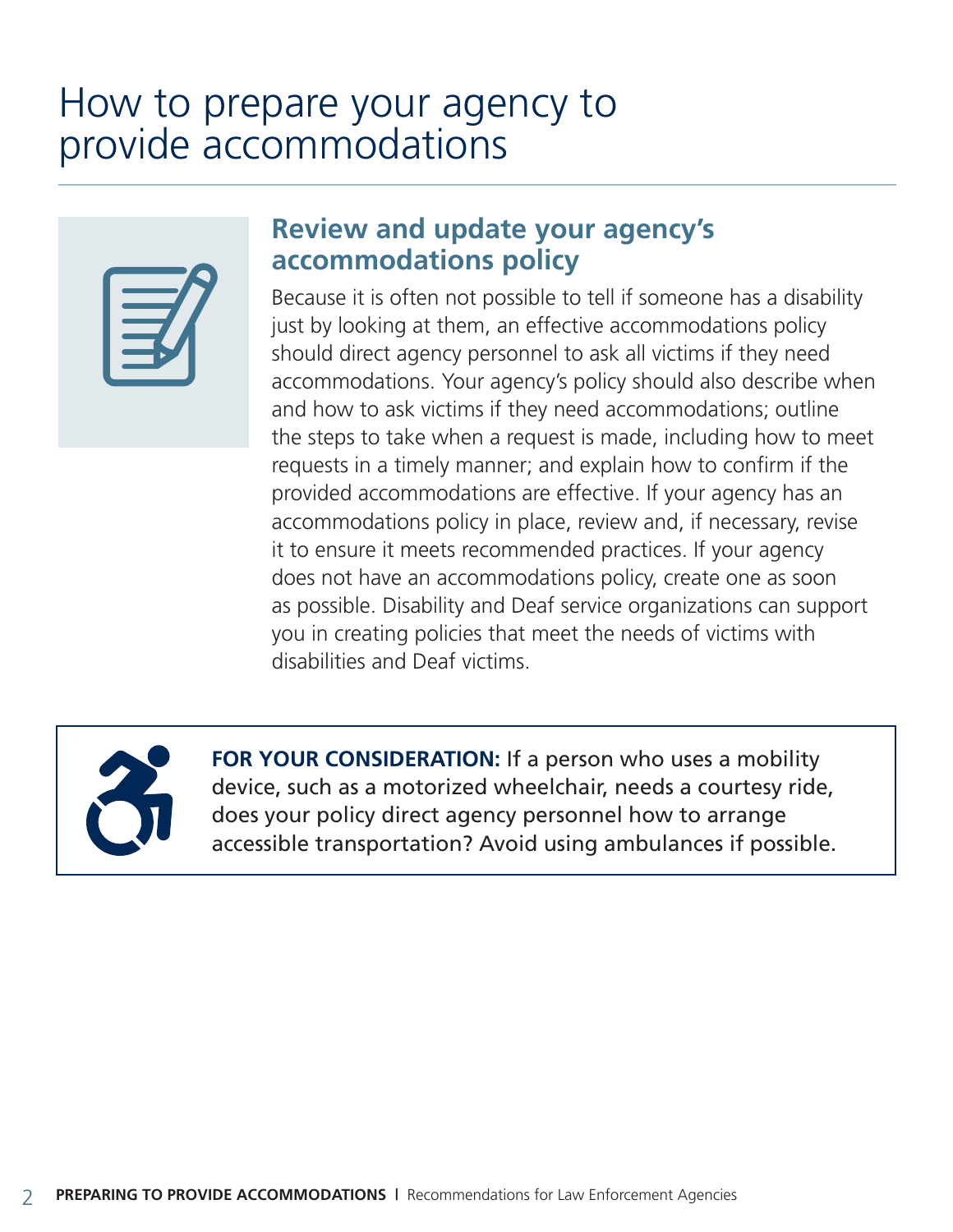# How to prepare your agency to provide accommodations



## **Review and update your agency's accommodations policy**

Because it is often not possible to tell if someone has a disability just by looking at them, an effective accommodations policy should direct agency personnel to ask all victims if they need accommodations. Your agency's policy should also describe when and how to ask victims if they need accommodations; outline the steps to take when a request is made, including how to meet requests in a timely manner; and explain how to confirm if the provided accommodations are effective. If your agency has an accommodations policy in place, review and, if necessary, revise it to ensure it meets recommended practices. If your agency does not have an accommodations policy, create one as soon as possible. Disability and Deaf service organizations can support you in creating policies that meet the needs of victims with disabilities and Deaf victims.



FOR YOUR CONSIDERATION: If a person who uses a mobility device, such as a motorized wheelchair, needs a courtesy ride, does your policy direct agency personnel how to arrange accessible transportation? Avoid using ambulances if possible.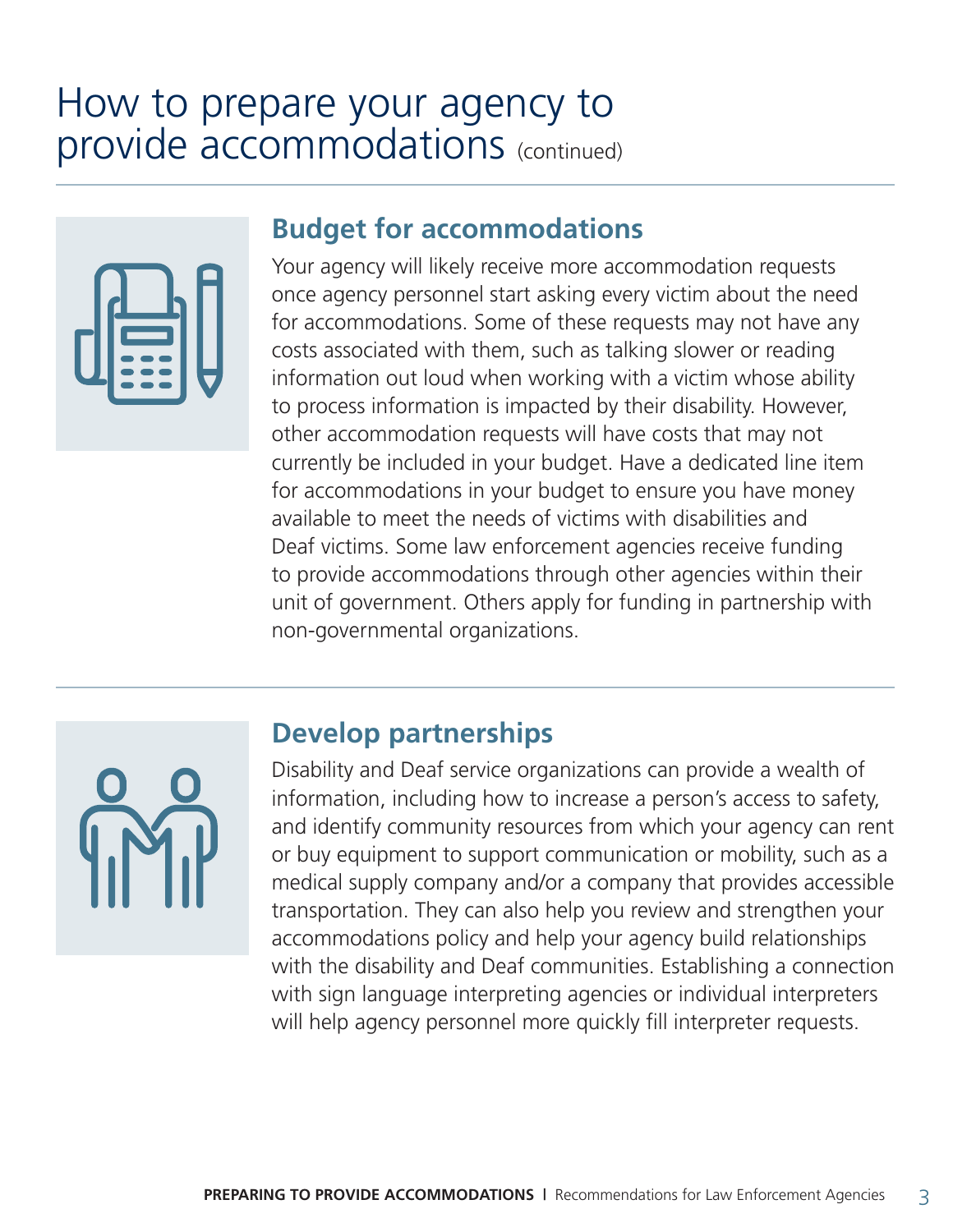# How to prepare your agency to provide accommodations (continued)

#### **Budget for accommodations**

Your agency will likely receive more accommodation requests once agency personnel start asking every victim about the need for accommodations. Some of these requests may not have any costs associated with them, such as talking slower or reading information out loud when working with a victim whose ability to process information is impacted by their disability. However, other accommodation requests will have costs that may not currently be included in your budget. Have a dedicated line item for accommodations in your budget to ensure you have money available to meet the needs of victims with disabilities and Deaf victims. Some law enforcement agencies receive funding to provide accommodations through other agencies within their unit of government. Others apply for funding in partnership with non-governmental organizations.



## **Develop partnerships**

Disability and Deaf service organizations can provide a wealth of information, including how to increase a person's access to safety, and identify community resources from which your agency can rent or buy equipment to support communication or mobility, such as a medical supply company and/or a company that provides accessible transportation. They can also help you review and strengthen your accommodations policy and help your agency build relationships with the disability and Deaf communities. Establishing a connection with sign language interpreting agencies or individual interpreters will help agency personnel more quickly fill interpreter requests.